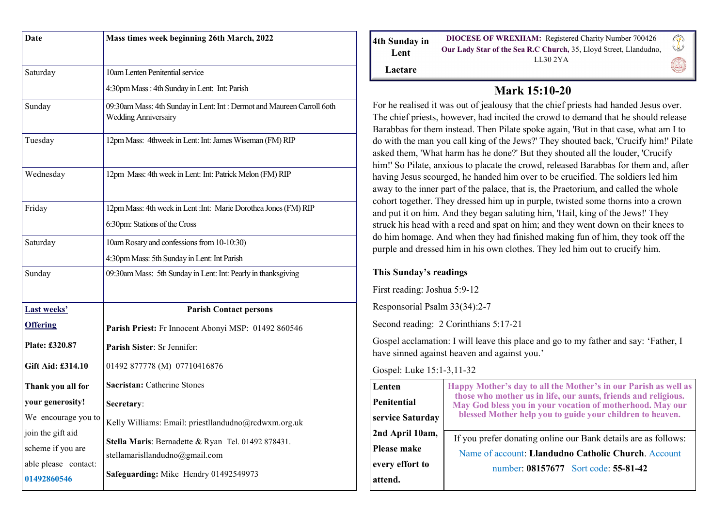| Date                 | Mass times week beginning 26th March, 2022                                                            |
|----------------------|-------------------------------------------------------------------------------------------------------|
|                      |                                                                                                       |
| Saturday             | 10am Lenten Penitential service                                                                       |
|                      | 4:30pm Mass: 4th Sunday in Lent: Int: Parish                                                          |
| Sunday               | 09:30am Mass: 4th Sunday in Lent: Int: Dermot and Maureen Carroll 6oth<br><b>Wedding Anniversairy</b> |
| Tuesday              | 12pm Mass: 4thweek in Lent: Int: James Wiseman (FM) RIP                                               |
| Wednesday            | 12pm Mass: 4th week in Lent: Int: Patrick Melon (FM) RIP                                              |
| Friday               | 12pm Mass: 4th week in Lent : Int: Marie Dorothea Jones (FM) RIP                                      |
|                      | 6:30pm: Stations of the Cross                                                                         |
| Saturday             | 10am Rosary and confessions from 10-10:30)                                                            |
|                      | 4:30pm Mass: 5th Sunday in Lent: Int Parish                                                           |
| Sunday               | 09:30am Mass: 5th Sunday in Lent: Int: Pearly in thanksgiving                                         |
|                      |                                                                                                       |
| <b>Last weeks'</b>   | <b>Parish Contact persons</b>                                                                         |
| <b>Offering</b>      | Parish Priest: Fr Innocent Abonyi MSP: 01492 860546                                                   |
| Plate: £320.87       | Parish Sister: Sr Jennifer:                                                                           |
| Gift Aid: £314.10    | 01492 877778 (M) 07710416876                                                                          |
| Thank you all for    | Sacristan: Catherine Stones                                                                           |
| your generosity!     | Secretary:                                                                                            |
| We encourage you to  | Kelly Williams: Email: priestllandudno@rcdwxm.org.uk                                                  |
| join the gift aid    |                                                                                                       |
| scheme if you are    | Stella Maris: Bernadette & Ryan Tel. 01492 878431.<br>stellamarisllandudno@gmail.com                  |
| able please contact: | Safeguarding: Mike Hendry 01492549973                                                                 |
| 01492860546          |                                                                                                       |

| 4th Sunday in<br>Lent | <b>DIOCESE OF WREXHAM:</b> Registered Charity Number 700426<br>Our Lady Star of the Sea R.C Church, 35, Lloyd Street, Llandudno,<br>LL302YA |  |
|-----------------------|---------------------------------------------------------------------------------------------------------------------------------------------|--|
| Laetare               |                                                                                                                                             |  |

## **Mark 15:10-20**

For he realised it was out of jealousy that the chief priests had handed Jesus over. The chief priests, however, had incited the crowd to demand that he should release Barabbas for them instead. Then Pilate spoke again, 'But in that case, what am I to do with the man you call king of the Jews?' They shouted back, 'Crucify him!' Pilate asked them, 'What harm has he done?' But they shouted all the louder, 'Crucify him!' So Pilate, anxious to placate the crowd, released Barabbas for them and, after having Jesus scourged, he handed him over to be crucified. The soldiers led him away to the inner part of the palace, that is, the Praetorium, and called the whole cohort together. They dressed him up in purple, twisted some thorns into a crown and put it on him. And they began saluting him, 'Hail, king of the Jews!' They struck his head with a reed and spat on him; and they went down on their knees to do him homage. And when they had finished making fun of him, they took off the purple and dressed him in his own clothes. They led him out to crucify him.

## **This Sunday's readings**

First reading: Joshua 5:9-12

Responsorial Psalm 33(34):2-7

Second reading: 2 Corinthians 5:17-21

Gospel acclamation: I will leave this place and go to my father and say: 'Father, I have sinned against heaven and against you.'

Gospel: Luke 15:1-3,11-32

| Lenten           | Happy Mother's day to all the Mother's in our Parish as well as<br>those who mother us in life, our aunts, friends and religious.<br>May God bless you in your vocation of motherhood. May our<br>blessed Mother help you to guide your children to heaven. |
|------------------|-------------------------------------------------------------------------------------------------------------------------------------------------------------------------------------------------------------------------------------------------------------|
| Penitential      |                                                                                                                                                                                                                                                             |
| service Saturday |                                                                                                                                                                                                                                                             |
| 2nd April 10am,  |                                                                                                                                                                                                                                                             |
|                  | If you prefer donating online our Bank details are as follows:<br>Name of account: Llandudno Catholic Church. Account                                                                                                                                       |
| Please make      |                                                                                                                                                                                                                                                             |
| every effort to  | number: 08157677 Sort code: 55-81-42                                                                                                                                                                                                                        |
| attend.          |                                                                                                                                                                                                                                                             |